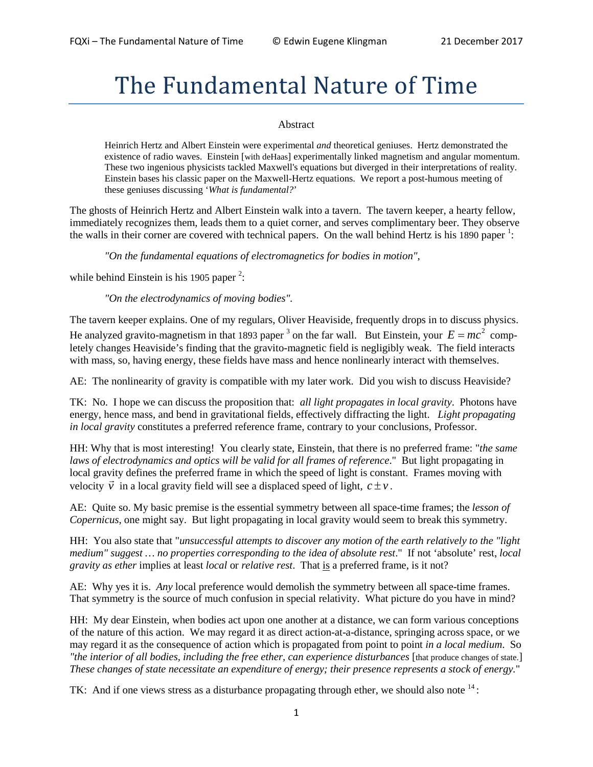# The Fundamental Nature of Time

#### Abstract

Heinrich Hertz and Albert Einstein were experimental *and* theoretical geniuses. Hertz demonstrated the existence of radio waves. Einstein [with deHaas] experimentally linked magnetism and angular momentum. These two ingenious physicists tackled Maxwell's equations but diverged in their interpretations of reality. Einstein bases his classic paper on the Maxwell-Hertz equations. We report a post-humous meeting of these geniuses discussing '*What is fundamental?*'

The ghosts of Heinrich Hertz and Albert Einstein walk into a tavern. The tavern keeper, a hearty fellow, immediately recognizes them, leads them to a quiet corner, and serves complimentary beer. They observe the walls in their corner are covered with technical papers. On the wall behind Hertz is his 1890 paper<sup>1</sup>:

*"On the fundamental equations of electromagnetics for bodies in motion",*

while behind Einstein is his 1905 paper<sup>2</sup>:

*"On the electrodynamics of moving bodies".*

The tavern keeper explains. One of my regulars, Oliver Heaviside, frequently drops in to discuss physics. He analyzed gravito-magnetism in that 1893 paper <sup>3</sup> on the far wall. But Einstein, your  $E = mc^2$  completely changes Heaviside's finding that the gravito-magnetic field is negligibly weak. The field interacts with mass, so, having energy, these fields have mass and hence nonlinearly interact with themselves.

AE: The nonlinearity of gravity is compatible with my later work. Did you wish to discuss Heaviside?

TK: No. I hope we can discuss the proposition that: *all light propagates in local gravity*. Photons have energy, hence mass, and bend in gravitational fields, effectively diffracting the light. *Light propagating in local gravity* constitutes a preferred reference frame, contrary to your conclusions, Professor.

HH: Why that is most interesting! You clearly state, Einstein, that there is no preferred frame: "*the same laws of electrodynamics and optics will be valid for all frames of reference*." But light propagating in local gravity defines the preferred frame in which the speed of light is constant. Frames moving with velocity  $\vec{v}$  in a local gravity field will see a displaced speed of light,  $c \pm v$ .

AE: Quite so. My basic premise is the essential symmetry between all space-time frames; the *lesson of Copernicus*, one might say. But light propagating in local gravity would seem to break this symmetry.

HH: You also state that "*unsuccessful attempts to discover any motion of the earth relatively to the "light medium" suggest … no properties corresponding to the idea of absolute rest*." If not 'absolute' rest, *local gravity as ether* implies at least *local* or *relative rest*. That is a preferred frame, is it not?

AE: Why yes it is. *Any* local preference would demolish the symmetry between all space-time frames. That symmetry is the source of much confusion in special relativity. What picture do you have in mind?

HH: My dear Einstein, when bodies act upon one another at a distance, we can form various conceptions of the nature of this action. We may regard it as direct action-at-a-distance, springing across space, or we may regard it as the consequence of action which is propagated from point to point *in a local medium*. So "the interior of all bodies, including the free ether, can experience disturbances [that produce changes of state.] *These changes of state necessitate an expenditure of energy; their presence represents a stock of energy.*"

TK: And if one views stress as a disturbance propagating through ether, we should also note  $14$ :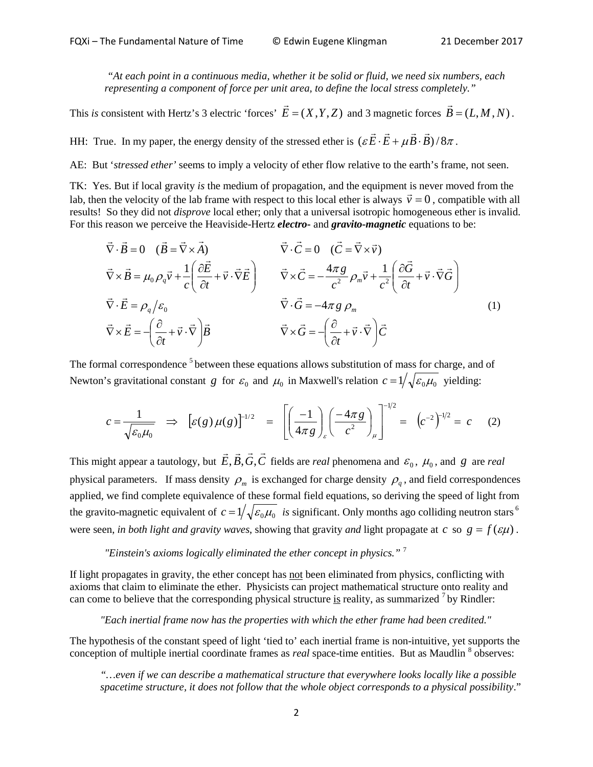*"At each point in a continuous media, whether it be solid or fluid, we need six numbers, each representing a component of force per unit area, to define the local stress completely."* 

This *is* consistent with Hertz's 3 electric 'forces'  $\vec{E} = (X, Y, Z)$  and 3 magnetic forces  $\vec{B} = (L, M, N)$ .

HH: True. In my paper, the energy density of the stressed ether is  $(\varepsilon \vec{E} \cdot \vec{E} + \mu \vec{B} \cdot \vec{B})/8\pi$ .

AE: But '*stressed ether'* seems to imply a velocity of ether flow relative to the earth's frame, not seen.

TK: Yes. But if local gravity *is* the medium of propagation, and the equipment is never moved from the lab, then the velocity of the lab frame with respect to this local ether is always  $\vec{v} = 0$ , compatible with all results! So they did not *disprove* local ether; only that a universal isotropic homogeneous ether is invalid. For this reason we perceive the Heaviside-Hertz *electro***-** and *gravito-magnetic* equations to be:

$$
\vec{\nabla} \cdot \vec{B} = 0 \quad (\vec{B} = \vec{\nabla} \times \vec{A}) \qquad \vec{\nabla} \cdot \vec{C} = 0 \quad (\vec{C} = \vec{\nabla} \times \vec{v})
$$
\n
$$
\vec{\nabla} \times \vec{B} = \mu_0 \rho_q \vec{v} + \frac{1}{c} \left( \frac{\partial \vec{E}}{\partial t} + \vec{v} \cdot \vec{\nabla} \vec{E} \right) \qquad \vec{\nabla} \times \vec{C} = -\frac{4\pi g}{c^2} \rho_m \vec{v} + \frac{1}{c^2} \left( \frac{\partial \vec{G}}{\partial t} + \vec{v} \cdot \vec{\nabla} \vec{G} \right)
$$
\n
$$
\vec{\nabla} \cdot \vec{E} = \rho_q / \varepsilon_0 \qquad \qquad \vec{\nabla} \cdot \vec{G} = -4\pi g \rho_m \qquad (1)
$$
\n
$$
\vec{\nabla} \times \vec{E} = -\left( \frac{\partial}{\partial t} + \vec{v} \cdot \vec{\nabla} \right) \vec{B} \qquad \qquad \vec{\nabla} \times \vec{G} = -\left( \frac{\partial}{\partial t} + \vec{v} \cdot \vec{\nabla} \right) \vec{C}
$$

The formal correspondence<sup>5</sup> between these equations allows substitution of mass for charge, and of Newton's gravitational constant *g* for  $\varepsilon_0$  and  $\mu_0$  in Maxwell's relation  $c = 1/\sqrt{\varepsilon_0 \mu_0}$  yielding:

$$
c = \frac{1}{\sqrt{\varepsilon_0 \mu_0}} \implies \left[ \varepsilon(g) \mu(g) \right]^{-1/2} = \left[ \left( \frac{-1}{4\pi g} \right)_\varepsilon \left( \frac{-4\pi g}{c^2} \right)_\mu \right]^{-1/2} = \left( c^{-2} \right)^{-1/2} = c \quad (2)
$$

This might appear a tautology, but  $\vec{E}, \vec{B}, \vec{G}, \vec{C}$  fields are *real* phenomena and  $\varepsilon_0$ ,  $\mu_0$ , and *g* are *real* physical parameters. If mass density  $\rho_m$  is exchanged for charge density  $\rho_q$ , and field correspondences applied, we find complete equivalence of these formal field equations, so deriving the speed of light from the gravito-magnetic equivalent of  $c = 1/\sqrt{\varepsilon_0 \mu_0}$  *is* significant. Only months ago colliding neutron stars <sup>6</sup> were seen, *in both light and gravity waves*, showing that gravity *and* light propagate at *c* so  $g = f(\varepsilon \mu)$ .

### *"Einstein's axioms logically eliminated the ether concept in physics."* <sup>7</sup>

If light propagates in gravity, the ether concept has not been eliminated from physics, conflicting with axioms that claim to eliminate the ether. Physicists can project mathematical structure onto reality and can come to believe that the corresponding physical structure is reality, as summarized  $<sup>7</sup>$  by Rindler:</sup>

#### *"Each inertial frame now has the properties with which the ether frame had been credited."*

The hypothesis of the constant speed of light 'tied to' each inertial frame is non-intuitive, yet supports the conception of multiple inertial coordinate frames as *real* space-time entities. But as Maudlin <sup>8</sup> observes:

*"…even if we can describe a mathematical structure that everywhere looks locally like a possible spacetime structure, it does not follow that the whole object corresponds to a physical possibility*."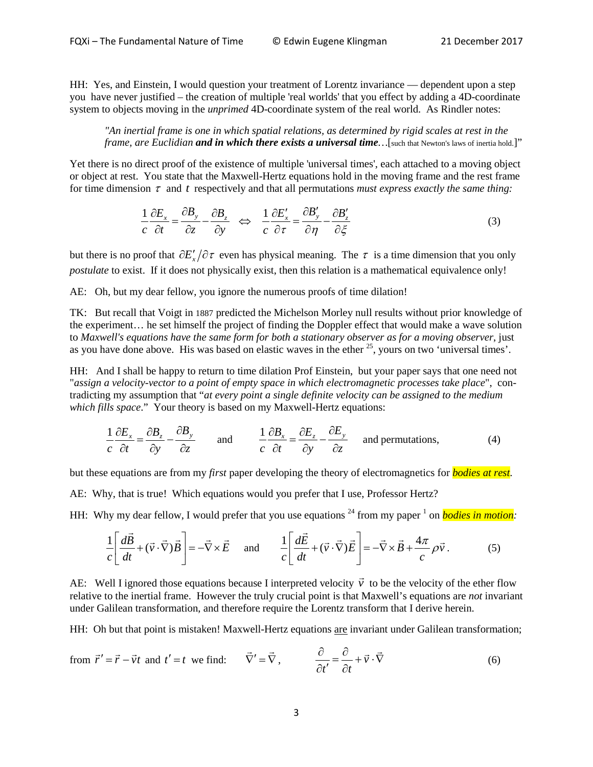HH: Yes, and Einstein, I would question your treatment of Lorentz invariance — dependent upon a step you have never justified – the creation of multiple 'real worlds' that you effect by adding a 4D-coordinate system to objects moving in the *unprimed* 4D-coordinate system of the real world. As Rindler notes:

*"An inertial frame is one in which spatial relations, as determined by rigid scales at rest in the frame, are Euclidian and in which there exists a universal time … [such that Newton's laws of inertia hold.]"* 

Yet there is no direct proof of the existence of multiple 'universal times', each attached to a moving object or object at rest. You state that the Maxwell-Hertz equations hold in the moving frame and the rest frame for time dimension  $\tau$  and  $t$  respectively and that all permutations *must express exactly the same thing*:

$$
\frac{1}{c}\frac{\partial E_x}{\partial t} = \frac{\partial B_y}{\partial z} - \frac{\partial B_z}{\partial y} \iff \frac{1}{c}\frac{\partial E_x'}{\partial \tau} = \frac{\partial B_y'}{\partial \eta} - \frac{\partial B_z'}{\partial \xi}
$$
(3)

but there is no proof that  $\partial E'_r/\partial \tau$  even has physical meaning. The  $\tau$  is a time dimension that you only *postulate* to exist. If it does not physically exist, then this relation is a mathematical equivalence only!

AE: Oh, but my dear fellow, you ignore the numerous proofs of time dilation!

TK: But recall that Voigt in 1887 predicted the Michelson Morley null results without prior knowledge of the experiment… he set himself the project of finding the Doppler effect that would make a wave solution to *Maxwell's equations have the same form for both a stationary observer as for a moving observer*, just as you have done above. His was based on elastic waves in the ether  $^{25}$ , yours on two 'universal times'.

HH: And I shall be happy to return to time dilation Prof Einstein, but your paper says that one need not "*assign a velocity-vector to a point of empty space in which electromagnetic processes take place*", contradicting my assumption that "*at every point a single definite velocity can be assigned to the medium which fills space*." Your theory is based on my Maxwell-Hertz equations:

$$
\frac{1}{c}\frac{\partial E_x}{\partial t} = \frac{\partial B_z}{\partial y} - \frac{\partial B_y}{\partial z} \quad \text{and} \quad \frac{1}{c}\frac{\partial B_x}{\partial t} = \frac{\partial E_z}{\partial y} - \frac{\partial E_y}{\partial z} \quad \text{and permutations,} \tag{4}
$$

but these equations are from my *first* paper developing the theory of electromagnetics for *bodies at rest*.

AE: Why, that is true! Which equations would you prefer that I use, Professor Hertz?

HH: Why my dear fellow, I would prefer that you use equations  $^{24}$  from my paper  $^1$  on *bodies in motion*:

$$
\frac{1}{c} \left[ \frac{d\vec{B}}{dt} + (\vec{v} \cdot \vec{\nabla}) \vec{B} \right] = -\vec{\nabla} \times \vec{E} \quad \text{and} \quad \frac{1}{c} \left[ \frac{d\vec{E}}{dt} + (\vec{v} \cdot \vec{\nabla}) \vec{E} \right] = -\vec{\nabla} \times \vec{B} + \frac{4\pi}{c} \rho \vec{v} \,. \tag{5}
$$

AE: Well I ignored those equations because I interpreted velocity  $\vec{v}$  to be the velocity of the ether flow relative to the inertial frame. However the truly crucial point is that Maxwell's equations are *not* invariant under Galilean transformation, and therefore require the Lorentz transform that I derive herein.

HH: Oh but that point is mistaken! Maxwell-Hertz equations are invariant under Galilean transformation;

from 
$$
\vec{r}' = \vec{r} - \vec{v}t
$$
 and  $t' = t$  we find:  $\vec{\nabla}' = \vec{\nabla}$ ,  $\frac{\partial}{\partial t'} = \frac{\partial}{\partial t} + \vec{v} \cdot \vec{\nabla}$  (6)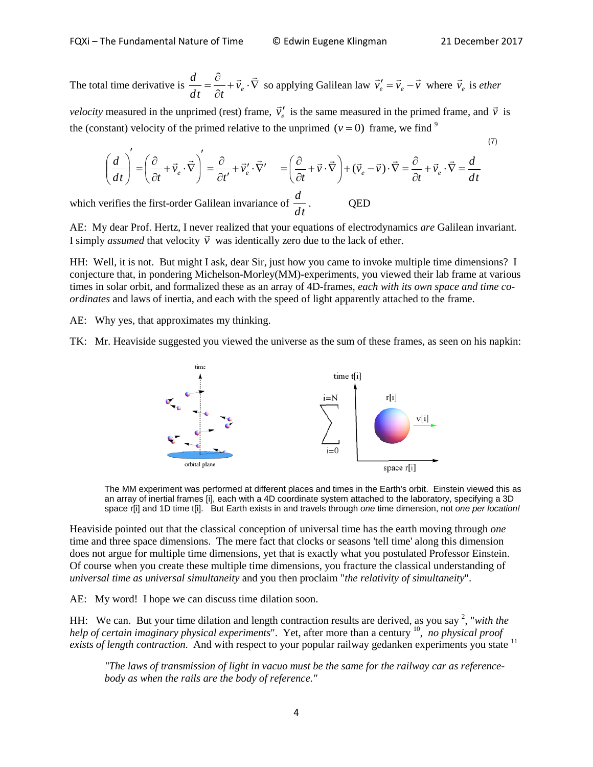(7)

The total time derivative is  $\frac{a}{1} = \frac{b}{2} + \vec{v}_e \cdot \nabla$ ∂  $\frac{d}{dt} = \frac{\partial}{\partial t} + \vec{v}_e \cdot \vec{\nabla}$  $\frac{d}{dt} = \frac{\partial}{\partial t} + \vec{v}_e \cdot \vec{\nabla}$  so applying Galilean law  $\vec{v}'_e = \vec{v}_e - \vec{v}$  where  $\vec{v}_e$  is *ether* 

*velocity* measured in the unprimed (rest) frame,  $\vec{v}'_e$  is the same measured in the primed frame, and  $\vec{v}$  is the (constant) velocity of the primed relative to the unprimed ( $v = 0$ ) frame, we find <sup>9</sup>

$$
\left(\frac{d}{dt}\right)' = \left(\frac{\partial}{\partial t} + \vec{v}_e \cdot \vec{\nabla}\right)' = \frac{\partial}{\partial t'} + \vec{v}'_e \cdot \vec{\nabla}' = \left(\frac{\partial}{\partial t} + \vec{v} \cdot \vec{\nabla}\right) + (\vec{v}_e - \vec{v}) \cdot \vec{\nabla} = \frac{\partial}{\partial t} + \vec{v}_e \cdot \vec{\nabla} = \frac{d}{dt}
$$

which verifies the first-order Galilean invariance of *dt*  $\frac{d}{dx}$ . QED

AE: My dear Prof. Hertz, I never realized that your equations of electrodynamics *are* Galilean invariant. AE:  $\overline{My}$  dear Prof. Hertz, I hever realized that your equations of electrodynal.<br>I simply *assumed* that velocity  $\overrightarrow{v}$  was identically zero due to the lack of ether.

HH: Well, it is not. But might I ask, dear Sir, just how you came to invoke multiple time dimensions? I conjecture that, in pondering Michelson-Morley(MM)-experiments, you viewed their lab frame at various times in solar orbit, and formalized these as an array of 4D-frames, *each with its own space and time coordinates* and laws of inertia, and each with the speed of light apparently attached to the frame.

AE: Why yes, that approximates my thinking.

TK: Mr. Heaviside suggested you viewed the universe as the sum of these frames, as seen on his napkin:



The MM experiment was performed at different places and times in the Earth's orbit. Einstein viewed this as an array of inertial frames [i], each with a 4D coordinate system attached to the laboratory, specifying a 3D space r[i] and 1D time t[i]. But Earth exists in and travels through *one* time dimension, not *one per location!*

Heaviside pointed out that the classical conception of universal time has the earth moving through *one* time and three space dimensions. The mere fact that clocks or seasons 'tell time' along this dimension does not argue for multiple time dimensions, yet that is exactly what you postulated Professor Einstein. Of course when you create these multiple time dimensions, you fracture the classical understanding of *universal time as universal simultaneity* and you then proclaim "*the relativity of simultaneity*".

AE: My word! I hope we can discuss time dilation soon.

HH: We can. But your time dilation and length contraction results are derived, as you say<sup>2</sup>, "*with the help of certain imaginary physical experiments*". Yet, after more than a century <sup>10</sup>, *no physical proof exists of length contraction*. And with respect to your popular railway gedanken experiments you state <sup>11</sup>

*"The laws of transmission of light in vacuo must be the same for the railway car as referencebody as when the rails are the body of reference."*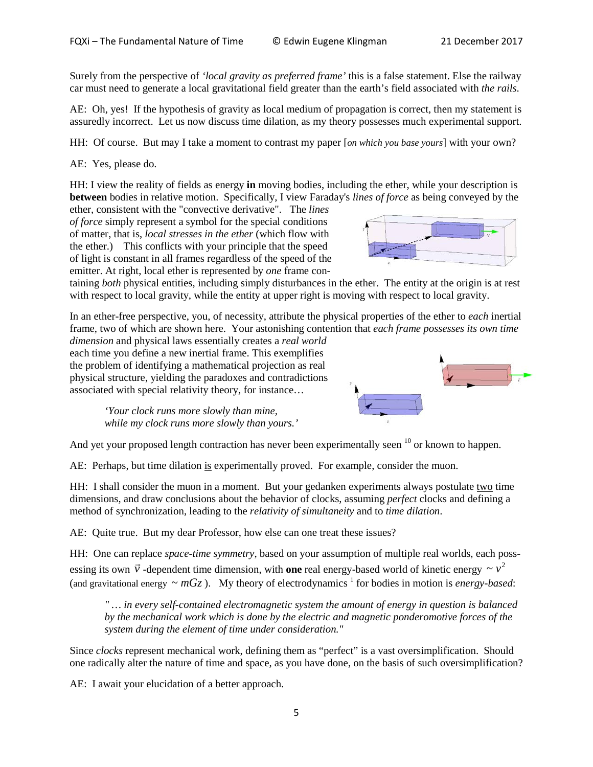Surely from the perspective of *'local gravity as preferred frame'* this is a false statement. Else the railway car must need to generate a local gravitational field greater than the earth's field associated with *the rails*.

AE: Oh, yes! If the hypothesis of gravity as local medium of propagation is correct, then my statement is assuredly incorrect. Let us now discuss time dilation, as my theory possesses much experimental support.

HH: Of course. But may I take a moment to contrast my paper [*on which you base yours*] with your own?

AE: Yes, please do.

HH: I view the reality of fields as energy **in** moving bodies, including the ether, while your description is **between** bodies in relative motion. Specifically, I view Faraday's *lines of force* as being conveyed by the

ether, consistent with the "convective derivative". The *lines of force* simply represent a symbol for the special conditions of matter, that is, *local stresses in the ether* (which flow with the ether.) This conflicts with your principle that the speed of light is constant in all frames regardless of the speed of the emitter. At right, local ether is represented by *one* frame con-



taining *both* physical entities, including simply disturbances in the ether. The entity at the origin is at rest with respect to local gravity, while the entity at upper right is moving with respect to local gravity.

In an ether-free perspective, you, of necessity, attribute the physical properties of the ether to *each* inertial frame, two of which are shown here. Your astonishing contention that *each frame possesses its own time* 

*dimension* and physical laws essentially creates a *real world* each time you define a new inertial frame. This exemplifies the problem of identifying a mathematical projection as real physical structure, yielding the paradoxes and contradictions associated with special relativity theory, for instance…

*'Your clock runs more slowly than mine, while my clock runs more slowly than yours.'*

And yet your proposed length contraction has never been experimentally seen  $10$  or known to happen.

AE: Perhaps, but time dilation is experimentally proved. For example, consider the muon.

HH: I shall consider the muon in a moment. But your gedanken experiments always postulate two time dimensions, and draw conclusions about the behavior of clocks, assuming *perfect* clocks and defining a method of synchronization, leading to the *relativity of simultaneity* and to *time dilation*.

AE: Quite true. But my dear Professor, how else can one treat these issues?

HH: One can replace *space-time symmetry*, based on your assumption of multiple real worlds, each possessing its own *v*  $\vec{v}$  -dependent time dimension, with **one** real energy-based world of kinetic energy  $\sim v^2$ (and gravitational energy  $\sim mGz$ ). My theory of electrodynamics <sup>1</sup> for bodies in motion is *energy-based*:

*" … in every self-contained electromagnetic system the amount of energy in question is balanced by the mechanical work which is done by the electric and magnetic ponderomotive forces of the system during the element of time under consideration."* 

Since *clocks* represent mechanical work, defining them as "perfect" is a vast oversimplification. Should one radically alter the nature of time and space, as you have done, on the basis of such oversimplification?

AE: I await your elucidation of a better approach.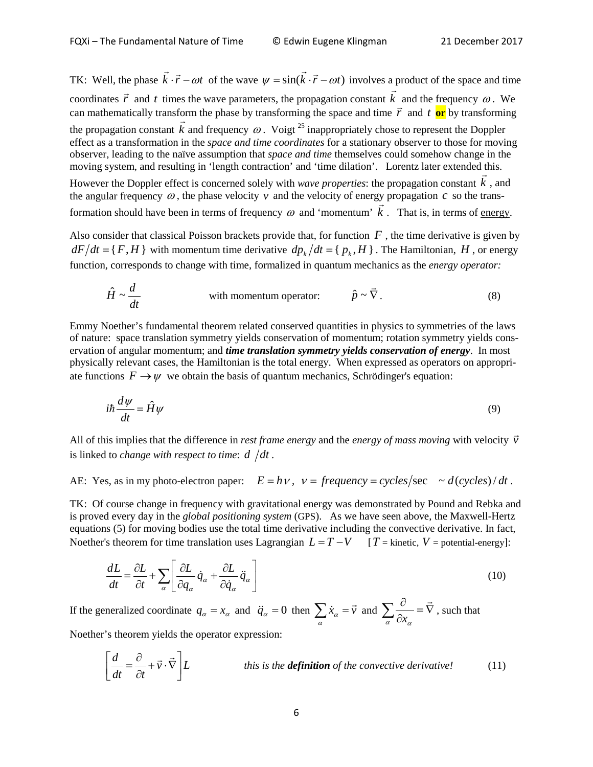TK: Well, the phase  $\vec{k} \cdot \vec{r} - \omega t$  of the wave  $\psi = \sin(\vec{k} \cdot \vec{r} - \omega t)$  involves a product of the space and time coordinates  $\vec{r}$  and *t* times the wave parameters, the propagation constant  $\vec{k}$  and the frequency  $\omega$ . We  $\overline{a}$ coordinates *r* and *t* times the wave parameters, the propagation constant *k* and the requency  $\omega$ . We can mathematically transform the phase by transforming the space and time  $\vec{r}$  and *t* or by transforming the propagation constant *k*  $\frac{0}{1}$ and frequency  $\omega$ . Voigt <sup>25</sup> inappropriately chose to represent the Doppler effect as a transformation in the *space and time coordinates* for a stationary observer to those for moving observer, leading to the naïve assumption that *space and time* themselves could somehow change in the moving system, and resulting in 'length contraction' and 'time dilation'. Lorentz later extended this. However the Doppler effect is concerned solely with *wave properties*: the propagation constant *k* , and

the angular frequency  $\omega$ , the phase velocity  $\nu$  and the velocity of energy propagation  $c$  so the transformation should have been in terms of frequency  $\omega$  and 'momentum'  $k$ . That is, in terms of energy.

Also consider that classical Poisson brackets provide that, for function  $F$ , the time derivative is given by  $dF/dt = {F, H}$  with momentum time derivative  $dp_k/dt = {p_k, H}$ . The Hamiltonian, *H*, or energy function, corresponds to change with time, formalized in quantum mechanics as the *energy operator:*

$$
\hat{H} \sim \frac{d}{dt}
$$
 with momentum operator:  $\hat{p} \sim \vec{\nabla}$ . (8)

Emmy Noether's fundamental theorem related conserved quantities in physics to symmetries of the laws of nature: space translation symmetry yields conservation of momentum; rotation symmetry yields conservation of angular momentum; and *time translation symmetry yields conservation of energy*. In most physically relevant cases, the Hamiltonian is the total energy. When expressed as operators on appropriate functions  $F \to \psi$  we obtain the basis of quantum mechanics, Schrödinger's equation:

$$
i\hbar \frac{d\psi}{dt} = \hat{H}\psi
$$
\n(9)

All of this implies that the difference in *rest frame energy* and the *energy of mass moving* with velocity *v*  $\overline{a}$ is linked to *change with respect to time:*  $d/dt$ *.* 

AE: Yes, as in my photo-electron paper:  $E = h v$ ,  $v = \text{frequency} = \text{cycles/sec} \sim \frac{d(\text{cycles})}{dt}$ .

TK: Of course change in frequency with gravitational energy was demonstrated by Pound and Rebka and is proved every day in the *global positioning system* (GPS). As we have seen above, the Maxwell-Hertz equations (5) for moving bodies use the total time derivative including the convective derivative. In fact, Noether's theorem for time translation uses Lagrangian  $L = T - V$  [*T* = kinetic, *V* = potential-energy]:

$$
\frac{dL}{dt} = \frac{\partial L}{\partial t} + \sum_{\alpha} \left[ \frac{\partial L}{\partial q_{\alpha}} \dot{q}_{\alpha} + \frac{\partial L}{\partial \dot{q}_{\alpha}} \ddot{q}_{\alpha} \right]
$$
(10)

If the generalized coordinate  $q_{\alpha} = x_{\alpha}$  and  $\ddot{q}_{\alpha} = 0$  then  $\sum_{\alpha} \dot{x}_{\alpha} = \vec{v}$  $\vec{v}$  and  $\sum_{n=1}^{\infty}$  =  $\nabla$  $\sum_{\alpha} \frac{\partial}{\partial x_{\alpha}} = \vec{\nabla}$ , such that Noether's theorem yields the operator expression:

 $\vec{v} \cdot \nabla \mid L$ *dt*  $\partial t$ *d*  $\left[ \frac{d}{dt} = \frac{\partial}{\partial t} + \vec{v} \cdot \vec{\nabla} \right]$  $\frac{d}{dt} = \frac{\partial}{\partial t} + \vec{v} \cdot \vec{\nabla}$ ∂ <sup>∂</sup> <sup>=</sup> *this is the definition of the convective derivative!* (11)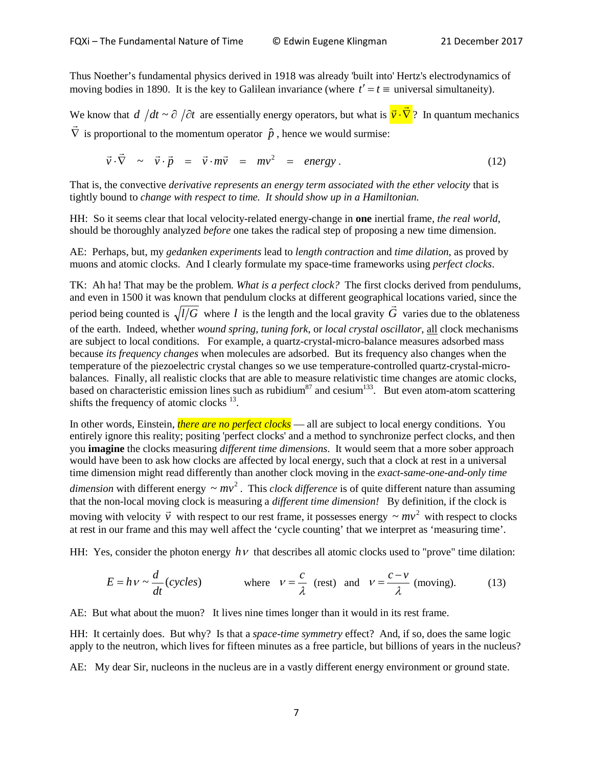Thus Noether's fundamental physics derived in 1918 was already 'built into' Hertz's electrodynamics of moving bodies in 1890. It is the key to Galilean invariance (where  $t' = t \equiv$  universal simultaneity).

We know that  $d/dt \sim \partial/\partial t$  are essentially energy operators, but what is  $\vec{v} \cdot \nabla$  $\overrightarrow{c}$  $\vec{v} \cdot \nabla$ ? In quantum mechanics  $\vec{\nabla}$  is proportional to the momentum operator  $\hat{p}$ , hence we would surmise:

$$
\vec{v} \cdot \vec{\nabla} \sim \vec{v} \cdot \vec{p} = \vec{v} \cdot m\vec{v} = m v^2 = energy.
$$
 (12)

That is, the convective *derivative represents an energy term associated with the ether velocity* that is tightly bound to *change with respect to time. It should show up in a Hamiltonian.*

HH: So it seems clear that local velocity-related energy-change in **one** inertial frame, *the real world*, should be thoroughly analyzed *before* one takes the radical step of proposing a new time dimension.

AE: Perhaps, but, my *gedanken experiments* lead to *length contraction* and *time dilation*, as proved by muons and atomic clocks. And I clearly formulate my space-time frameworks using *perfect clocks*.

TK: Ah ha! That may be the problem*. What is a perfect clock?* The first clocks derived from pendulums, and even in 1500 it was known that pendulum clocks at different geographical locations varied, since the and even in 1500 it was known that pendulum clocks at different geographical locations varied, since the period being counted is  $\sqrt{l/G}$  where *l* is the length and the local gravity  $\vec{G}$  varies due to the oblateness of the earth. Indeed, whether *wound spring*, *tuning fork*, or *local crystal oscillator*, all clock mechanisms are subject to local conditions. For example, a quartz-crystal-micro-balance measures adsorbed mass because *its frequency changes* when molecules are adsorbed. But its frequency also changes when the temperature of the piezoelectric crystal changes so we use temperature-controlled quartz-crystal-microbalances. Finally, all realistic clocks that are able to measure relativistic time changes are atomic clocks, based on characteristic emission lines such as rubidium<sup>87</sup> and cesium<sup>133</sup>. But even atom-atom scattering shifts the frequency of atomic clocks  $^{13}$ .

In other words, Einstein, *there are no perfect clocks* — all are subject to local energy conditions. You entirely ignore this reality; positing 'perfect clocks' and a method to synchronize perfect clocks, and then you **imagine** the clocks measuring *different time dimensions*. It would seem that a more sober approach would have been to ask how clocks are affected by local energy, such that a clock at rest in a universal time dimension might read differently than another clock moving in the *exact-same-one-and-only time dimension* with different energy  $\sim mv^2$ . This *clock difference* is of quite different nature than assuming that the non-local moving clock is measuring a *different time dimension!* By definition, if the clock is moving with velocity  $\vec{v}$  with respect to our rest frame, it possesses energy  $\sim mv^2$  with respect to clocks at rest in our frame and this may well affect the 'cycle counting' that we interpret as 'measuring time'.

HH: Yes, consider the photon energy  $h\nu$  that describes all atomic clocks used to "prove" time dilation:

$$
E = h v \sim \frac{d}{dt}(cycles)
$$
 where  $v = \frac{c}{\lambda}$  (rest) and  $v = \frac{c - v}{\lambda}$  (moving). (13)

AE: But what about the muon? It lives nine times longer than it would in its rest frame.

HH: It certainly does. But why? Is that a *space-time symmetry* effect? And, if so, does the same logic apply to the neutron, which lives for fifteen minutes as a free particle, but billions of years in the nucleus?

AE: My dear Sir, nucleons in the nucleus are in a vastly different energy environment or ground state.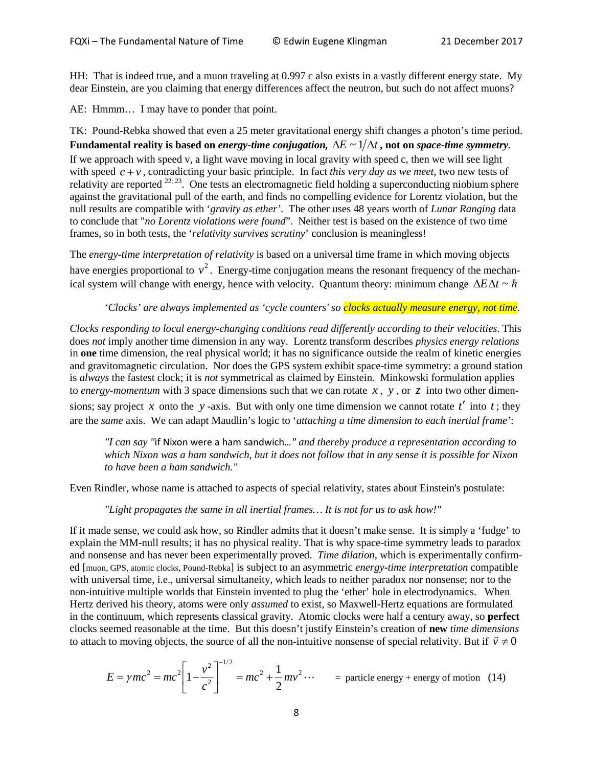HH: That is indeed true, and a muon traveling at 0.997 c also exists in a vastly different energy state. My dear Einstein, are you claiming that energy differences affect the neutron, but such do not affect muons?

AE: Hmmm… I may have to ponder that point.

TK: Pound-Rebka showed that even a 25 meter gravitational energy shift changes a photon's time period. Fundamental reality is based on *energy-time conjugation,*  $\Delta E \sim 1/\Delta t$ , not on *space-time symmetry*. If we approach with speed v, a light wave moving in local gravity with speed c, then we will see light with speed  $c + v$ , contradicting your basic principle. In fact *this very day as we meet*, two new tests of relativity are reported  $^{22, 23}$ . One tests an electromagnetic field holding a superconducting niobium sphere against the gravitational pull of the earth, and finds no compelling evidence for Lorentz violation, but the null results are compatible with '*gravity as ether'*. The other uses 48 years worth of *Lunar Ranging* data to conclude that "*no Lorentz violations were found*". Neither test is based on the existence of two time frames, so in both tests, the '*relativity survives scrutiny*' conclusion is meaningless!

The *energy-time interpretation of relativity* is based on a universal time frame in which moving objects have energies proportional to  $v^2$ . Energy-time conjugation means the resonant frequency of the mechanical system will change with energy, hence with velocity. Quantum theory: minimum change ∆*E*∆*t* ~

*'Clocks' are always implemented as 'cycle counters' so clocks actually measure energy, not time.* 

*Clocks responding to local energy-changing conditions read differently according to their velocities*. This does *not* imply another time dimension in any way. Lorentz transform describes *physics energy relations* in **one** time dimension, the real physical world; it has no significance outside the realm of kinetic energies and gravitomagnetic circulation. Nor does the GPS system exhibit space-time symmetry: a ground station is *always* the fastest clock; it is *not* symmetrical as claimed by Einstein. Minkowski formulation applies to *energy-momentum* with 3 space dimensions such that we can rotate  $x$ ,  $y$ , or  $z$  into two other dimensions; say project *x* onto the *y*-axis. But with only one time dimension we cannot rotate  $t'$  into  $t$ ; they are the *same* axis. We can adapt Maudlin's logic to '*attaching a time dimension to each inertial frame'*:

*"I can say "*if Nixon were a ham sandwich*…" and thereby produce a representation according to which Nixon was a ham sandwich, but it does not follow that in any sense it is possible for Nixon to have been a ham sandwich."*

Even Rindler, whose name is attached to aspects of special relativity, states about Einstein's postulate:

*"Light propagates the same in all inertial frames… It is not for us to ask how!"*

If it made sense, we could ask how, so Rindler admits that it doesn't make sense. It is simply a 'fudge' to explain the MM-null results; it has no physical reality. That is why space-time symmetry leads to paradox and nonsense and has never been experimentally proved. *Time dilation*, which is experimentally confirmed [muon, GPS, atomic clocks, Pound-Rebka] is subject to an asymmetric *energy-time interpretation* compatible with universal time, i.e., universal simultaneity, which leads to neither paradox nor nonsense; nor to the non-intuitive multiple worlds that Einstein invented to plug the 'ether' hole in electrodynamics. When Hertz derived his theory, atoms were only *assumed* to exist, so Maxwell-Hertz equations are formulated in the continuum, which represents classical gravity. Atomic clocks were half a century away, so **perfect** clocks seemed reasonable at the time. But this doesn't justify Einstein's creation of **new** *time dimensions* to attach to moving objects, the source of all the non-intuitive nonsense of special relativity. But if  $\vec{v} \neq 0$ 

$$
E = \gamma mc^2 = mc^2 \left[ 1 - \frac{v^2}{c^2} \right]^{-1/2} = mc^2 + \frac{1}{2}mv^2 \cdots \qquad \text{ = particle energy + energy of motion (14)}
$$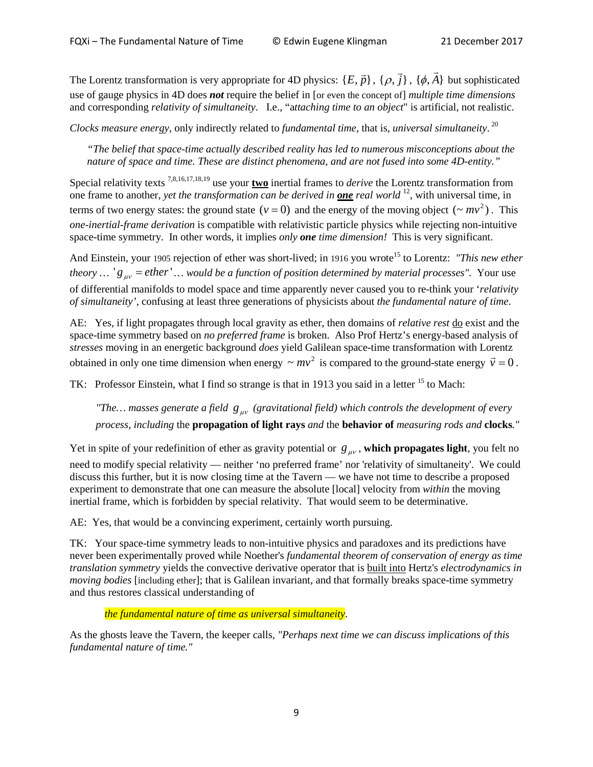The Lorentz transformation is very appropriate for 4D physics:  $\{E, \vec{p}\}, \{\rho, \vec{j}\}$  $\rho$ ,  $\vec{j}$ }, { $\phi$ ,  $\vec{A}$ } but sophisticated use of gauge physics in 4D does *not* require the belief in [or even the concept of] *multiple time dimensions* and corresponding *relativity of simultaneity*. I.e., "a*ttaching time to an object*" is artificial, not realistic.

*Clocks measure energy*, only indirectly related to *fundamental time*, that is, *universal simultaneity*. 20

*"The belief that space-time actually described reality has led to numerous misconceptions about the nature of space and time. These are distinct phenomena, and are not fused into some 4D-entity."*

Special relativity texts 7,8,16,17,18,19 use your **two** inertial frames to *derive* the Lorentz transformation from one frame to another, *yet the transformation can be derived in one real world* 12, with universal time, in terms of two energy states: the ground state  $(v = 0)$  and the energy of the moving object  $({\sim mv}^2)$ . This *one-inertial-frame derivation* is compatible with relativistic particle physics while rejecting non-intuitive space-time symmetry. In other words, it implies *only one time dimension!* This is very significant.

And Einstein, your 1905 rejection of ether was short-lived; in 1916 you wrote<sup>15</sup> to Lorentz: *"This new ether theory*  $\ldots$  'g<sub>*uv*</sub> = *ether*'  $\ldots$  *would be a function of position determined by material processes".* Your use of differential manifolds to model space and time apparently never caused you to re-think your '*relativity of simultaneity',* confusing at least three generations of physicists about *the fundamental nature of time*.

AE: Yes, if light propagates through local gravity as ether, then domains of *relative rest* do exist and the space-time symmetry based on *no preferred frame* is broken. Also Prof Hertz's energy-based analysis of *stresses* moving in an energetic background *does* yield Galilean space-time transformation with Lorentz obtained in only one time dimension when energy  $\sim mv^2$  is compared to the ground-state energy  $\vec{v} = 0$ .

TK: Professor Einstein, what I find so strange is that in 1913 you said in a letter <sup>15</sup> to Mach:

*"The... masses generate a field*  $g_{\mu\nu}$  *(gravitational field) which controls the development of every process, including* the **propagation of light rays** *and* the **behavior of** *measuring rods and* **clocks***."*

Yet in spite of your redefinition of ether as gravity potential or  $g_{\mu\nu}$ , which propagates light, you felt no need to modify special relativity — neither 'no preferred frame' nor 'relativity of simultaneity'. We could discuss this further, but it is now closing time at the Tavern — we have not time to describe a proposed experiment to demonstrate that one can measure the absolute [local] velocity from *within* the moving inertial frame, which is forbidden by special relativity. That would seem to be determinative.

AE: Yes, that would be a convincing experiment, certainly worth pursuing.

TK: Your space-time symmetry leads to non-intuitive physics and paradoxes and its predictions have never been experimentally proved while Noether's *fundamental theorem of conservation of energy as time translation symmetry* yields the convective derivative operator that is built into Hertz's *electrodynamics in moving bodies* [including ether]; that is Galilean invariant, and that formally breaks space-time symmetry and thus restores classical understanding of

*the fundamental nature of time as universal simultaneity*.

As the ghosts leave the Tavern, the keeper calls*, "Perhaps next time we can discuss implications of this fundamental nature of time."*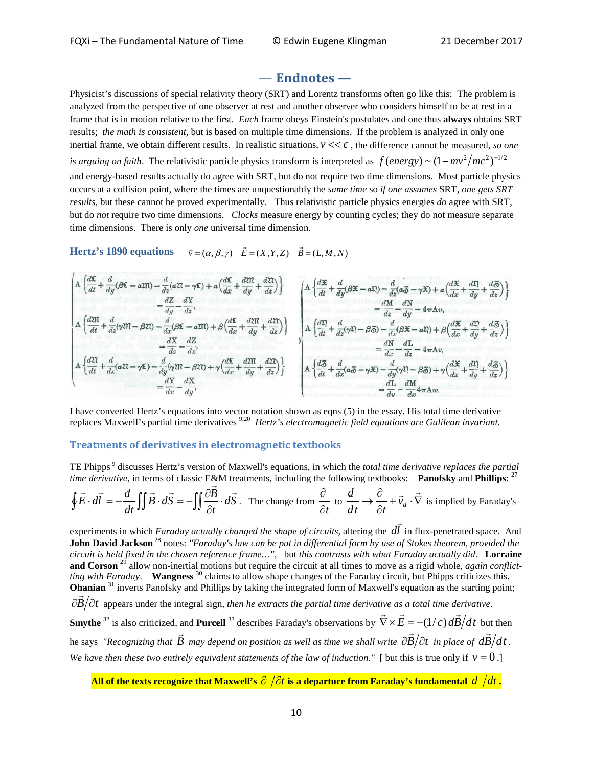## — **Endnotes —**

Physicist's discussions of special relativity theory (SRT) and Lorentz transforms often go like this: The problem is analyzed from the perspective of one observer at rest and another observer who considers himself to be at rest in a frame that is in motion relative to the first. *Each* frame obeys Einstein's postulates and one thus **always** obtains SRT results; *the math is consistent*, but is based on multiple time dimensions. If the problem is analyzed in only one inertial frame, we obtain different results. In realistic situations,  $v \ll c$ , the difference cannot be measured, so one *is arguing on faith.* The relativistic particle physics transform is interpreted as  $f(energy) \sim (1 - mv^2/mc^2)^{-1/2}$ and energy-based results actually do agree with SRT, but do not require two time dimensions. Most particle physics occurs at a collision point, where the times are unquestionably the *same time* so *if one assumes* SRT, *one gets SRT results*, but these cannot be proved experimentally. Thus relativistic particle physics energies *do* agree with SRT, but do *not* require two time dimensions. *Clocks* measure energy by counting cycles; they do not measure separate time dimensions. There is only *one* universal time dimension.

**Hertz's 1890 equations**  $\vec{v} = (\alpha, \beta, \gamma)$   $\vec{E} = (X, Y, Z)$   $\vec{B} = (L, M, N)$ 



I have converted Hertz's equations into vector notation shown as eqns (5) in the essay. His total time derivative replaces Maxwell's partial time derivatives 9,20 *Hertz's electromagnetic field equations are Galilean invariant.*

#### **Treatments of derivatives in electromagnetic textbooks**

TE Phipps <sup>9</sup> discusses Hertz's version of Maxwell's equations, in which the *total time derivative replaces the partial* 

time derivative, in terms of classic E&M treatments, including the following textbooks: **Panofsky** and **Philips**: <sup>27</sup>  
\n
$$
\oint \vec{E} \cdot d\vec{l} = -\frac{d}{dt} \iint \vec{B} \cdot d\vec{S} = -\iint \frac{\partial \vec{B}}{\partial t} \cdot d\vec{S}.
$$
\nThe change from  $\frac{\partial}{\partial t}$  to  $\frac{d}{dt} \to \frac{\partial}{\partial t} + \vec{v}_d \cdot \vec{\nabla}$  is implied by Faraday's

experiments in which *Faraday actually changed the shape of circuits*, altering the *dl* in flux-penetrated space. And **John David Jackson** <sup>28</sup> notes: *"Faraday's law can be put in differential form by use of Stokes theorem, provided the circuit is held fixed in the chosen reference frame…",* but *this contrasts with what Faraday actually did*. **Lorraine and Corson** <sup>29</sup> allow non-inertial motions but require the circuit at all times to move as a rigid whole, *again conflictting with Faraday*. **Wangness** <sup>30</sup> claims to allow shape changes of the Faraday circuit, but Phipps criticizes this. **Ohanian** <sup>31</sup> inverts Panofsky and Phillips by taking the integrated form of Maxwell's equation as the starting point; <sup>∂</sup>*<sup>B</sup>* <sup>∂</sup>*<sup>t</sup>* appears under the integral sign, *then he extracts the partial time derivative as a total time derivative*. **Smythe** <sup>32</sup> is also criticized, and **Purcell** <sup>33</sup> describes Faraday's observations by  $\vec{\nabla} \times \vec{E} = -(1/c) d\vec{B}/dt$  but then he says *"Recognizing that*  $\vec{B}$  *may depend on position as well as time we shall write*  $\frac{\partial \vec{B}}{\partial t}$  *in place of*  $\frac{d\vec{B}}{dt}$ . *We have then these two entirely equivalent statements of the law of induction."* [ but this is true only if  $v = 0$  .]

**All of the texts recognize that Maxwell's** ∂ ∂*t* **is a departure from Faraday's fundamental** *d dt* **.**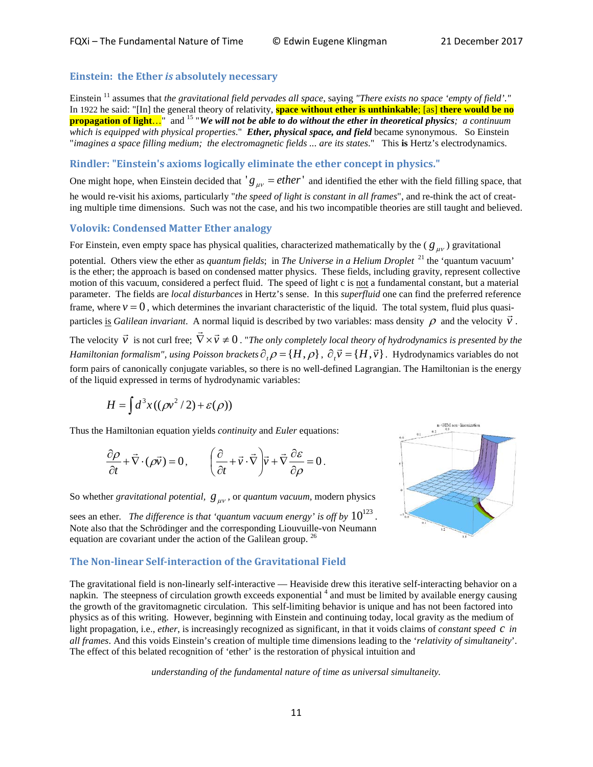#### **Einstein: the Ether** *is* **absolutely necessary**

Einstein <sup>11</sup> assumes that *the gravitational field pervades all space*, saying *"There exists no space 'empty of field'."*  In 1922 he said: "[In] the general theory of relativity, **space without ether is unthinkable**; [as] **there would be no propagation of light...**" and <sup>15</sup> "We will not be able to do without the ether in theoretical physics; a continuum *which is equipped with physical properties*." *Ether, physical space, and field* became synonymous. So Einstein "*imagines a space filling medium; the electromagnetic fields ... are its states*." This **is** Hertz's electrodynamics.

#### **Rindler: "Einstein's axioms logically eliminate the ether concept in physics."**

One might hope, when Einstein decided that  $'g_{\mu\nu} = \text{ether}'$  and identified the ether with the field filling space, that he would re-visit his axioms, particularly "*the speed of light is constant in all frames*", and re-think the act of creating multiple time dimensions. Such was not the case, and his two incompatible theories are still taught and believed.

#### **Volovik: Condensed Matter Ether analogy**

For Einstein, even empty space has physical qualities, characterized mathematically by the ( $g_{\mu\nu}$ ) gravitational

potential. Others view the ether as *quantum fields*; in *The Universe in a Helium Droplet* <sup>21</sup> the 'quantum vacuum' is the ether; the approach is based on condensed matter physics. These fields, including gravity, represent collective motion of this vacuum, considered a perfect fluid. The speed of light c is not a fundamental constant, but a material parameter. The fields are *local disturbances* in Hertz's sense. In this *superfluid* one can find the preferred reference frame, where  $v = 0$ , which determines the invariant characteristic of the liquid. The total system, fluid plus quasiparticles is *Galilean invariant*. A normal liquid is described by two variables: mass density  $\rho$  and the velocity  $\vec{v}$ .

The velocity  $\vec{v}$  is not curl free;  $\vec{\nabla} \times \vec{v} \neq 0$ . "*The only completely local theory of hydrodynamics is presented by the Hamiltonian formalism", using Poisson brackets*  $\partial_t \rho = \{H, \rho\}$ ,  $\partial_t \vec{v} = \{H, \vec{v}\}\$ . Hydrodynamics variables do not form pairs of canonically conjugate variables, so there is no well-defined Lagrangian. The Hamiltonian is the energy of the liquid expressed in terms of hydrodynamic variables:

$$
H = \int d^3x \left( (\rho v^2 / 2) + \varepsilon(\rho) \right)
$$

Thus the Hamiltonian equation yields *continuity* and *Euler* equations:

$$
\frac{\partial \rho}{\partial t} + \vec{\nabla} \cdot (\rho \vec{v}) = 0, \qquad \left( \frac{\partial}{\partial t} + \vec{v} \cdot \vec{\nabla} \right) \vec{v} + \vec{\nabla} \frac{\partial \varepsilon}{\partial \rho} = 0.
$$

So whether *gravitational potential,*  $g_{uv}$ *,* or *quantum vacuum*, modern physics

sees an ether. *The difference is that 'quantum vacuum energy' is off by*  $10^{123}$ . Note also that the Schrödinger and the corresponding Liouvuille-von Neumann equation are covariant under the action of the Galilean group. <sup>26</sup>

#### **The Non-linear Self-interaction of the Gravitational Field**



The gravitational field is non-linearly self-interactive — Heaviside drew this iterative self-interacting behavior on a napkin. The steepness of circulation growth exceeds exponential  $4$  and must be limited by available energy causing the growth of the gravitomagnetic circulation. This self-limiting behavior is unique and has not been factored into physics as of this writing. However, beginning with Einstein and continuing today, local gravity as the medium of light propagation, i.e., *ether*, is increasingly recognized as significant, in that it voids claims of *constant speed C* in *all frames*. And this voids Einstein's creation of multiple time dimensions leading to the '*relativity of simultaneity*'. The effect of this belated recognition of 'ether' is the restoration of physical intuition and

*understanding of the fundamental nature of time as universal simultaneity.*